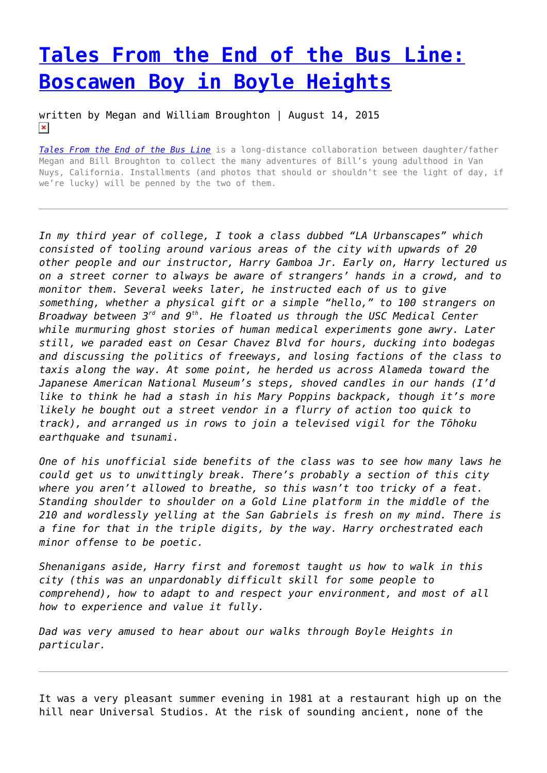## **[Tales From the End of the Bus Line:](https://entropymag.org/tales-from-the-end-of-the-bus-line-boscawen-boy-in-boyle-heights/) [Boscawen Boy in Boyle Heights](https://entropymag.org/tales-from-the-end-of-the-bus-line-boscawen-boy-in-boyle-heights/)**

written by Megan and William Broughton | August 14, 2015  $\pmb{\times}$ 

*[Tales From the End of the Bus Line](https://entropymag.org/tag/tales-from-the-end-of-the-bus-line/)* is a long-distance collaboration between daughter/father Megan and Bill Broughton to collect the many adventures of Bill's young adulthood in Van Nuys, California. Installments (and photos that should or shouldn't see the light of day, if we're lucky) will be penned by the two of them.

*In my third year of college, I took a class dubbed "LA Urbanscapes" which consisted of tooling around various areas of the city with upwards of 20 other people and our instructor, Harry Gamboa Jr. Early on, Harry lectured us on a street corner to always be aware of strangers' hands in a crowd, and to monitor them. Several weeks later, he instructed each of us to give something, whether a physical gift or a simple "hello," to 100 strangers on Broadway between 3rd and 9th. He floated us through the USC Medical Center while murmuring ghost stories of human medical experiments gone awry. Later still, we paraded east on Cesar Chavez Blvd for hours, ducking into bodegas and discussing the politics of freeways, and losing factions of the class to taxis along the way. At some point, he herded us across Alameda toward the Japanese American National Museum's steps, shoved candles in our hands (I'd like to think he had a stash in his Mary Poppins backpack, though it's more likely he bought out a street vendor in a flurry of action too quick to track), and arranged us in rows to join a televised vigil for the Tōhoku earthquake and tsunami.*

*One of his unofficial side benefits of the class was to see how many laws he could get us to unwittingly break. There's probably a section of this city where you aren't allowed to breathe, so this wasn't too tricky of a feat. Standing shoulder to shoulder on a Gold Line platform in the middle of the 210 and wordlessly yelling at the San Gabriels is fresh on my mind. There is a fine for that in the triple digits, by the way. Harry orchestrated each minor offense to be poetic.*

*Shenanigans aside, Harry first and foremost taught us how to walk in this city (this was an unpardonably difficult skill for some people to comprehend), how to adapt to and respect your environment, and most of all how to experience and value it fully.*

*Dad was very amused to hear about our walks through Boyle Heights in particular.*

It was a very pleasant summer evening in 1981 at a restaurant high up on the hill near Universal Studios. At the risk of sounding ancient, none of the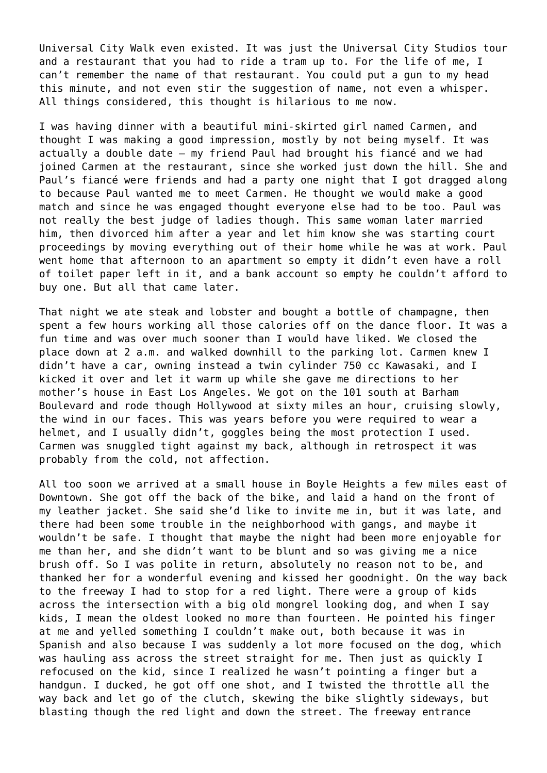Universal City Walk even existed. It was just the Universal City Studios tour and a restaurant that you had to ride a tram up to. For the life of me, I can't remember the name of that restaurant. You could put a gun to my head this minute, and not even stir the suggestion of name, not even a whisper. All things considered, this thought is hilarious to me now.

I was having dinner with a beautiful mini-skirted girl named Carmen, and thought I was making a good impression, mostly by not being myself. It was actually a double date – my friend Paul had brought his fiancé and we had joined Carmen at the restaurant, since she worked just down the hill. She and Paul's fiancé were friends and had a party one night that I got dragged along to because Paul wanted me to meet Carmen. He thought we would make a good match and since he was engaged thought everyone else had to be too. Paul was not really the best judge of ladies though. This same woman later married him, then divorced him after a year and let him know she was starting court proceedings by moving everything out of their home while he was at work. Paul went home that afternoon to an apartment so empty it didn't even have a roll of toilet paper left in it, and a bank account so empty he couldn't afford to buy one. But all that came later.

That night we ate steak and lobster and bought a bottle of champagne, then spent a few hours working all those calories off on the dance floor. It was a fun time and was over much sooner than I would have liked. We closed the place down at 2 a.m. and walked downhill to the parking lot. Carmen knew I didn't have a car, owning instead a twin cylinder 750 cc Kawasaki, and I kicked it over and let it warm up while she gave me directions to her mother's house in East Los Angeles. We got on the 101 south at Barham Boulevard and rode though Hollywood at sixty miles an hour, cruising slowly, the wind in our faces. This was years before you were required to wear a helmet, and I usually didn't, goggles being the most protection I used. Carmen was snuggled tight against my back, although in retrospect it was probably from the cold, not affection.

All too soon we arrived at a small house in Boyle Heights a few miles east of Downtown. She got off the back of the bike, and laid a hand on the front of my leather jacket. She said she'd like to invite me in, but it was late, and there had been some trouble in the neighborhood with gangs, and maybe it wouldn't be safe. I thought that maybe the night had been more enjoyable for me than her, and she didn't want to be blunt and so was giving me a nice brush off. So I was polite in return, absolutely no reason not to be, and thanked her for a wonderful evening and kissed her goodnight. On the way back to the freeway I had to stop for a red light. There were a group of kids across the intersection with a big old mongrel looking dog, and when I say kids, I mean the oldest looked no more than fourteen. He pointed his finger at me and yelled something I couldn't make out, both because it was in Spanish and also because I was suddenly a lot more focused on the dog, which was hauling ass across the street straight for me. Then just as quickly I refocused on the kid, since I realized he wasn't pointing a finger but a handgun. I ducked, he got off one shot, and I twisted the throttle all the way back and let go of the clutch, skewing the bike slightly sideways, but blasting though the red light and down the street. The freeway entrance